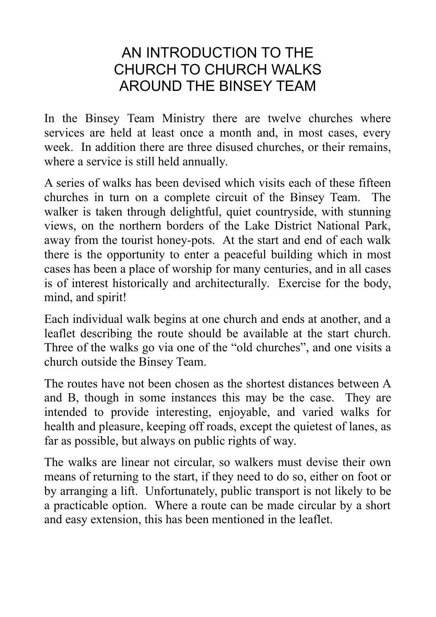## AN INTRODUCTION TO THE CHURCH TO CHURCH WALKS AROUND THE BINSEY TEAM

In the Binsey Team Ministry there are twelve churches where services are held at least once a month and, in most cases, every week. In addition there are three disused churches, or their remains, where a service is still held annually.

A series of walks has been devised which visits each of these fifteen churches in turn on a complete circuit of the Binsey Team. The walker is taken through delightful, quiet countryside, with stunning views, on the northern borders of the Lake District National Park, away from the tourist honey-pots. At the start and end of each walk there is the opportunity to enter a peaceful building which in most cases has been a place of worship for many centuries, and in all cases is of interest historically and architecturally. Exercise for the body, mind, and spirit!

Each individual walk begins at one church and ends at another, and a leaflet describing the route should be available at the start church. Three of the walks go via one of the "old churches", and one visits a church outside the Binsey Team.

The routes have not been chosen as the shortest distances between A and B, though in some instances this may be the case. They are intended to provide interesting, enjoyable, and varied walks for health and pleasure, keeping off roads, except the quietest of lanes, as far as possible, but always on public rights of way.

The walks are linear not circular, so walkers must devise their own means of returning to the start, if they need to do so, either on foot or by arranging a lift. Unfortunately, public transport is not likely to be a practicable option. Where a route can be made circular by a short and easy extension, this has been mentioned in the leaflet.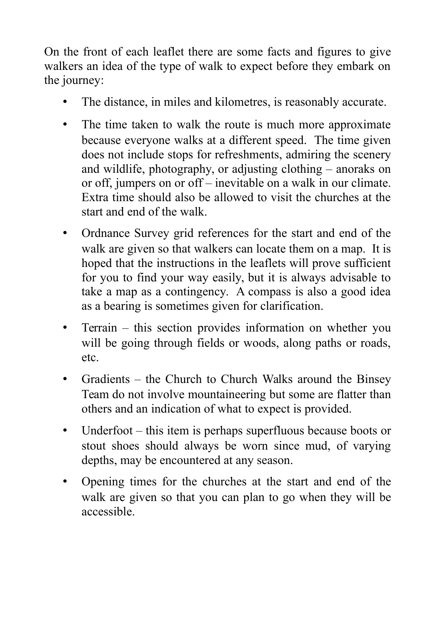On the front of each leaflet there are some facts and figures to give walkers an idea of the type of walk to expect before they embark on the journey:

- The distance, in miles and kilometres, is reasonably accurate.
- The time taken to walk the route is much more approximate because everyone walks at a different speed. The time given does not include stops for refreshments, admiring the scenery and wildlife, photography, or adjusting clothing – anoraks on or off, jumpers on or off – inevitable on a walk in our climate. Extra time should also be allowed to visit the churches at the start and end of the walk.
- Ordnance Survey grid references for the start and end of the walk are given so that walkers can locate them on a map. It is hoped that the instructions in the leaflets will prove sufficient for you to find your way easily, but it is always advisable to take a map as a contingency. A compass is also a good idea as a bearing is sometimes given for clarification.
- Terrain this section provides information on whether you will be going through fields or woods, along paths or roads, etc.
- Gradients the Church to Church Walks around the Binsey Team do not involve mountaineering but some are flatter than others and an indication of what to expect is provided.
- Underfoot this item is perhaps superfluous because boots or stout shoes should always be worn since mud, of varying depths, may be encountered at any season.
- Opening times for the churches at the start and end of the walk are given so that you can plan to go when they will be accessible.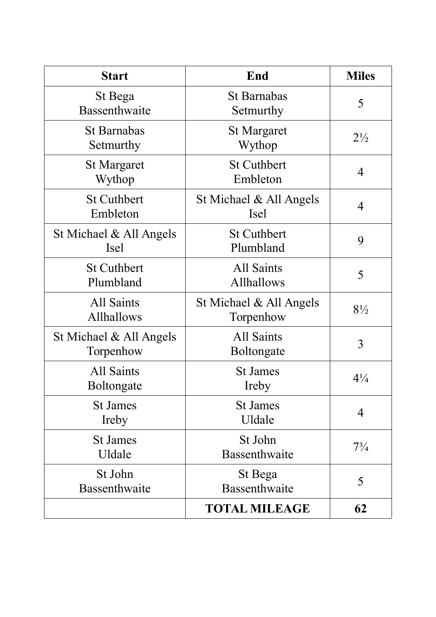| <b>Start</b>                           | End                                  | <b>Miles</b>   |
|----------------------------------------|--------------------------------------|----------------|
| St Bega<br>Bassenthwaite               | St Barnabas<br>Setmurthy             | 5              |
| <b>St Barnabas</b><br>Setmurthy        | <b>St Margaret</b><br>Wythop         | $2\frac{1}{2}$ |
| <b>St Margaret</b><br>Wythop           | <b>St Cuthbert</b><br>Embleton       | 4              |
| <b>St Cuthbert</b><br>Embleton         | St Michael & All Angels<br>Isel      | 4              |
| St Michael & All Angels<br><b>Isel</b> | <b>St Cuthbert</b><br>Plumbland      | 9              |
| <b>St Cuthbert</b><br>Plumbland        | All Saints<br>Allhallows             | 5              |
| All Saints<br>Allhallows               | St Michael & All Angels<br>Torpenhow | $8\frac{1}{2}$ |
| St Michael & All Angels<br>Torpenhow   | <b>All Saints</b><br>Boltongate      | 3              |
| All Saints<br>Boltongate               | <b>St James</b><br>Ireby             | $4\frac{1}{4}$ |
| <b>St James</b><br>Ireby               | <b>St James</b><br>Uldale            | 4              |
| <b>St James</b><br>Uldale              | St John<br>Bassenthwaite             | $7\frac{3}{4}$ |
| St John<br>Bassenthwaite               | St Bega<br>Bassenthwaite             | 5              |
|                                        | <b>TOTAL MILEAGE</b>                 | 62             |